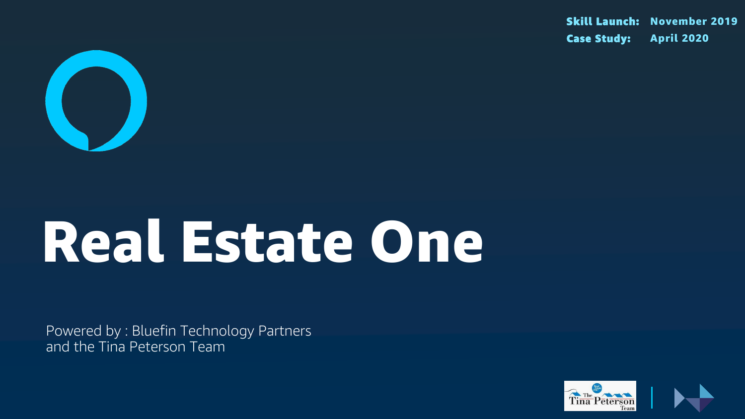

# Real Estate One

Powered by : Bluefin Technology Partners and the Tina Peterson Team

Skill Launch: November 2019 Case Study: April 2020



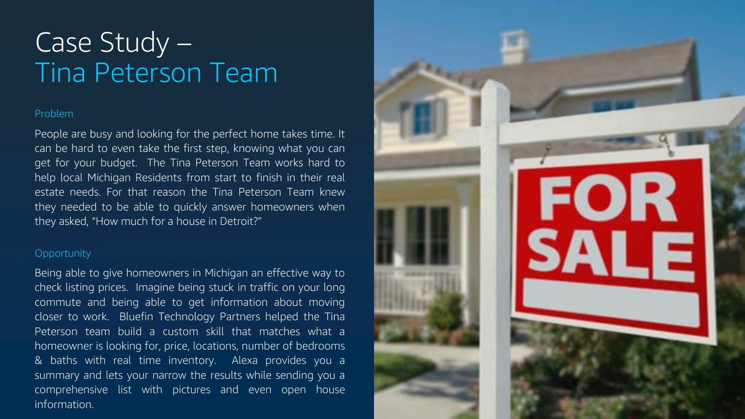### Problem

People are busy and looking for the perfect home takes time. It can be hard to even take the first step, knowing what you can get for your budget. The Tina Peterson Team works hard to help local Michigan Residents from start to finish in their real estate needs. For that reason the Tina Peterson Team knew they needed to be able to quickly answer homeowners when they asked, "How much for a house in Detroit?"

### **Opportunity**

# Case Study – Tina Peterson Team

Being able to give homeowners in Michigan an effective way to check listing prices. Imagine being stuck in traffic on your long commute and being able to get information about moving closer to work. Bluefin Technology Partners helped the Tina Peterson team build a custom skill that matches what a homeowner is looking for, price, locations, number of bedrooms & baths with real time inventory. Alexa provides you a summary and lets your narrow the results while sending you a comprehensive list with pictures and even open house information.

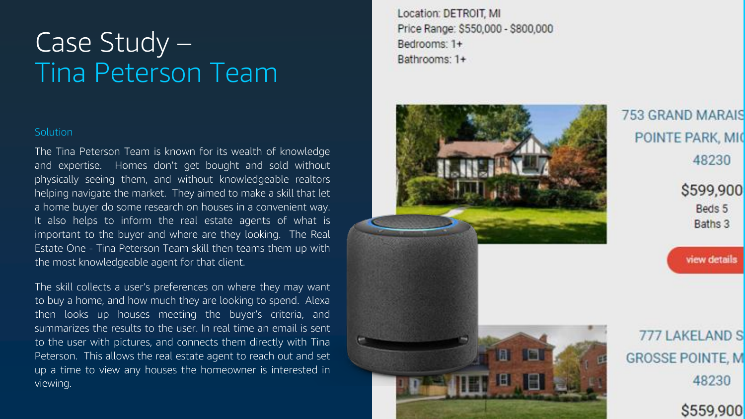### Case Study – Tina Peterson Team

#### **Solution**



### **753 GRAND MARAIS** POINTE PARK, MIC 48230

\$599,900 Beds 5 Baths 3



777 LAKELAND S **GROSSE POINTE, M** 48230 \$559,900



The Tina Peterson Team is known for its wealth of knowledge and expertise. Homes don't get bought and sold without physically seeing them, and without knowledgeable realtors helping navigate the market. They aimed to make a skill that let a home buyer do some research on houses in a convenient way. It also helps to inform the real estate agents of what is important to the buyer and where are they looking. The Real Estate One - Tina Peterson Team skill then teams them up with the most knowledgeable agent for that client.

The skill collects a user's preferences on where they may want to buy a home, and how much they are looking to spend. Alexa then looks up houses meeting the buyer's criteria, and summarizes the results to the user. In real time an email is sent to the user with pictures, and connects them directly with Tina Peterson. This allows the real estate agent to reach out and set up a time to view any houses the homeowner is interested in viewing.

Location: DETROIT, MI Price Range: \$550,000 - \$800,000 Bedrooms: 1+ Bathrooms: 1+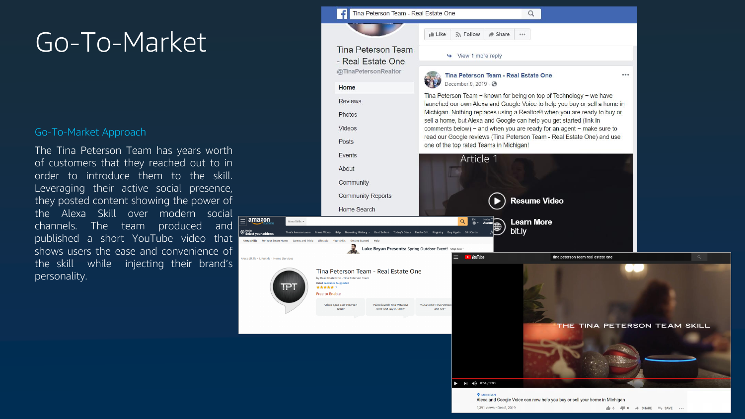|                                                                                  | Tina Peterson Team - Real Estate One                                                                                                                                                     |                                                                                                                                                                                                                                                                                                          |        |
|----------------------------------------------------------------------------------|------------------------------------------------------------------------------------------------------------------------------------------------------------------------------------------|----------------------------------------------------------------------------------------------------------------------------------------------------------------------------------------------------------------------------------------------------------------------------------------------------------|--------|
|                                                                                  |                                                                                                                                                                                          | <b>ID</b> Like<br>N Follow                                                                                                                                                                                                                                                                               | Share  |
|                                                                                  | <b>Tina Peterson Team</b><br>- Real Estate One<br>@TinaPetersonRealtor<br>Home                                                                                                           | View 1 more reply                                                                                                                                                                                                                                                                                        |        |
|                                                                                  |                                                                                                                                                                                          | Tina Peterson Team - Real Esta<br>December 8, 2019 · ⊙                                                                                                                                                                                                                                                   |        |
|                                                                                  |                                                                                                                                                                                          | Tina Peterson Team ~ known for being o<br>launched our own Alexa and Google Voi<br>Michigan. Nothing replaces using a Real<br>sell a home, but Alexa and Google can h<br>comments below) $\sim$ and when you are re<br>read our Google reviews (Tina Peterson<br>one of the top rated Teams in Michigan! |        |
|                                                                                  | <b>Reviews</b>                                                                                                                                                                           |                                                                                                                                                                                                                                                                                                          |        |
|                                                                                  | Photos                                                                                                                                                                                   |                                                                                                                                                                                                                                                                                                          |        |
|                                                                                  | Videos                                                                                                                                                                                   |                                                                                                                                                                                                                                                                                                          |        |
|                                                                                  | <b>Posts</b>                                                                                                                                                                             |                                                                                                                                                                                                                                                                                                          |        |
|                                                                                  | <b>Events</b>                                                                                                                                                                            | Article 1                                                                                                                                                                                                                                                                                                |        |
|                                                                                  | About                                                                                                                                                                                    |                                                                                                                                                                                                                                                                                                          |        |
|                                                                                  | Community                                                                                                                                                                                |                                                                                                                                                                                                                                                                                                          |        |
|                                                                                  | <b>Community Reports</b>                                                                                                                                                                 |                                                                                                                                                                                                                                                                                                          |        |
|                                                                                  | Home Search                                                                                                                                                                              |                                                                                                                                                                                                                                                                                                          | Resur  |
| 'n<br>Alexa Skills v<br><u>y Prime</u>                                           |                                                                                                                                                                                          | $\overset{\text{EN}}{\bigoplus}$<br>Hello, T<br>Q<br>Accour                                                                                                                                                                                                                                              | Learn  |
| <b>Tina's Amazon.com</b><br>ldress<br>Your Smart Home<br><b>Games and Trivia</b> | Best Sellers Today's Deals Find a Gift Registry<br><b>Prime Video</b><br>Help Browsing History $\blacktriangledown$<br>Lifestyle<br><b>Your Skills</b><br><b>Getting Started</b><br>Help | Buy Again<br><b>Gift Cards</b>                                                                                                                                                                                                                                                                           | bit.ly |
|                                                                                  | Luke Bryan Presents: Spring Outdoor Event! Shop now .                                                                                                                                    |                                                                                                                                                                                                                                                                                                          |        |
| tyle > Home Services                                                             |                                                                                                                                                                                          | $\blacktriangleright$ YouTube                                                                                                                                                                                                                                                                            |        |
|                                                                                  | Tina Peterson Team - Real Estate One<br>by Real Estate One - Tina Peterson Team<br>Rated: Guidance Suggested<br>★★★★★ 7<br><b>Free to Enable</b>                                         |                                                                                                                                                                                                                                                                                                          |        |
|                                                                                  | "Alexa open Tina Peterson<br>"Alexa launch Tina Peterson<br>Team"<br>Team and Buy a Home"                                                                                                | "Alexa start Tina Petersor<br>and Sell"                                                                                                                                                                                                                                                                  |        |
|                                                                                  |                                                                                                                                                                                          |                                                                                                                                                                                                                                                                                                          |        |
|                                                                                  |                                                                                                                                                                                          |                                                                                                                                                                                                                                                                                                          |        |
|                                                                                  |                                                                                                                                                                                          |                                                                                                                                                                                                                                                                                                          |        |
|                                                                                  |                                                                                                                                                                                          |                                                                                                                                                                                                                                                                                                          |        |
|                                                                                  |                                                                                                                                                                                          | $\bullet$ 0:54 / 1:00<br>$\blacktriangleright$                                                                                                                                                                                                                                                           |        |
|                                                                                  |                                                                                                                                                                                          | <b>9 MICHIGAN</b>                                                                                                                                                                                                                                                                                        |        |
|                                                                                  |                                                                                                                                                                                          |                                                                                                                                                                                                                                                                                                          |        |

#### ate One

 $...$ 

on top of Technology  $\sim$  we have ce to help you buy or sell a home in Itor® when you are ready to buy or elp you get started (link in eady for an agent ~ make sure to Team - Real Estate One) and use



3,391 views · Dec 8, 2019

tina peterson team real estate one THE TINA PETERSON TEAM SKILL

Alexa and Google Voice can now help you buy or sell your home in Michigan

### Go-To-Market

### Go -To -Market Approach

The Tina Peterson Team has years worth of customers that they reached out to in order to introduce them to the skill. Leveraging their active social presence, they posted content showing the power of the Alexa Skill over modern social channels. The team produced and published a short YouTube video that shows users the ease and convenience of the skill while injecting their brand's personality.

 $\boxed{\equiv}$  amazo

**Alexa Skills** Fo

lexa Skills → Lifes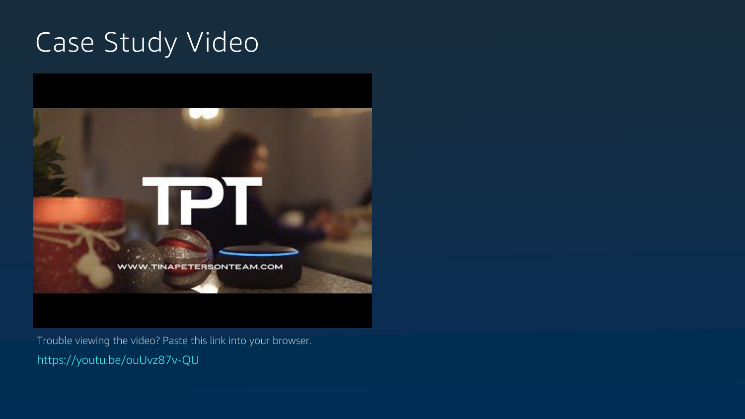# Case Study Video



https://youtu.be/ouUvz87v-QU Trouble viewing the video? Paste this link into your browser.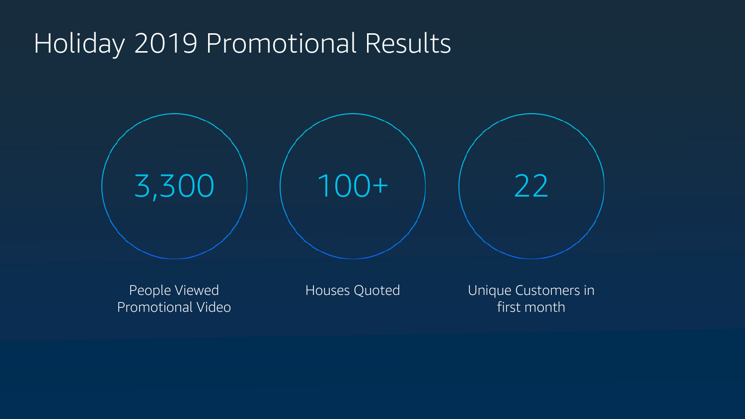# Holiday 2019 Promotional Results

People Viewed Promotional Video Houses Quoted **Unique Customers in** 



# first month